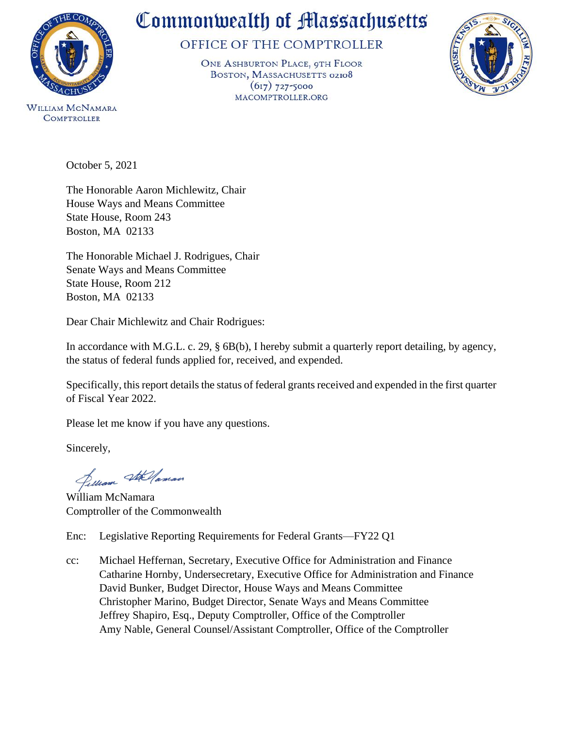

**COMPTROLLER** 

## Commonwealth of Massachusetts

OFFICE OF THE COMPTROLLER

ONE ASHBURTON PLACE, 9TH FLOOR BOSTON, MASSACHUSETTS 02108  $(617)$  727-5000 MACOMPTROLLER.ORG



October 5, 2021

The Honorable Aaron Michlewitz, Chair House Ways and Means Committee State House, Room 243 Boston, MA 02133

The Honorable Michael J. Rodrigues, Chair Senate Ways and Means Committee State House, Room 212 Boston, MA 02133

Dear Chair Michlewitz and Chair Rodrigues:

In accordance with M.G.L. c. 29, § 6B(b), I hereby submit a quarterly report detailing, by agency, the status of federal funds applied for, received, and expended.

Specifically, this report details the status of federal grants received and expended in the first quarter of Fiscal Year 2022.

Please let me know if you have any questions.

Sincerely,

filliam Stellaman

William McNamara Comptroller of the Commonwealth

Enc: Legislative Reporting Requirements for Federal Grants—FY22 Q1

cc: Michael Heffernan, Secretary, Executive Office for Administration and Finance Catharine Hornby, Undersecretary, Executive Office for Administration and Finance David Bunker, Budget Director, House Ways and Means Committee Christopher Marino, Budget Director, Senate Ways and Means Committee Jeffrey Shapiro, Esq., Deputy Comptroller, Office of the Comptroller Amy Nable, General Counsel/Assistant Comptroller, Office of the Comptroller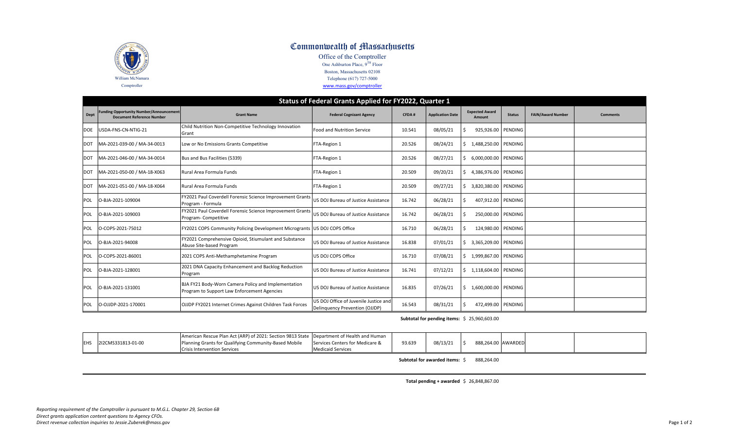

## Commonwealth of Massachusetts

Office of the Comptroller One Ashburton Place, 9TH Floor Boston, Massachusetts 02108 Telephone (617) 727-5000

www.mass.gov/comptroller

|  | WWW.IIIdSS.RUV/CONDUCTI |  |
|--|-------------------------|--|
|  |                         |  |
|  |                         |  |

|            | Status of Federal Grants Applied for FY2022, Quarter 1                             |                                                                                                    |                                                                         |        |                         |                                 |               |                          |                 |
|------------|------------------------------------------------------------------------------------|----------------------------------------------------------------------------------------------------|-------------------------------------------------------------------------|--------|-------------------------|---------------------------------|---------------|--------------------------|-----------------|
| Dept       | <b>Funding Opportunity Number/Announcement</b><br><b>Document Reference Number</b> | <b>Grant Name</b>                                                                                  | <b>Federal Cognizant Agency</b>                                         | CFDA#  | <b>Application Date</b> | <b>Expected Award</b><br>Amount | <b>Status</b> | <b>FAIN/Award Number</b> | <b>Comments</b> |
| <b>DOE</b> | USDA-FNS-CN-NTIG-21                                                                | Child Nutrition Non-Competitive Technology Innovation<br>Grant                                     | <b>Food and Nutrition Service</b>                                       | 10.541 | 08/05/21                | 925,926.00 PENDING              |               |                          |                 |
| <b>DOT</b> | MA-2021-039-00 / MA-34-0013                                                        | Low or No Emissions Grants Competitive                                                             | FTA-Region 1                                                            | 20.526 | 08/24/21                | 1,488,250.00 PENDING            |               |                          |                 |
| <b>DOT</b> | MA-2021-046-00 / MA-34-0014                                                        | Bus and Bus Facilities (5339)                                                                      | FTA-Region 1                                                            | 20.526 | 08/27/21                | 6,000,000.00 PENDING            |               |                          |                 |
| <b>DOT</b> | MA-2021-050-00 / MA-18-X063                                                        | Rural Area Formula Funds                                                                           | FTA-Region 1                                                            | 20.509 | 09/20/21                | 4,386,976.00 PENDING            |               |                          |                 |
| <b>DOT</b> | MA-2021-051-00 / MA-18-X064                                                        | Rural Area Formula Funds                                                                           | FTA-Region 1                                                            | 20.509 | 09/27/21                | 3,820,380.00 PENDING            |               |                          |                 |
| <b>POL</b> | O-BJA-2021-109004                                                                  | FY2021 Paul Coverdell Forensic Science Improvement Grants<br>Program - Formula                     | US DOJ Bureau of Justice Assistance                                     | 16.742 | 06/28/21                | 407,912.00 PENDING              |               |                          |                 |
| POL        | O-BJA-2021-109003                                                                  | FY2021 Paul Coverdell Forensic Science Improvement Grants<br>Program-Competitive                   | US DOJ Bureau of Justice Assistance                                     | 16.742 | 06/28/21                | 250,000.00 PENDING              |               |                          |                 |
| POL        | O-COPS-2021-75012                                                                  | FY2021 COPS Community Policing Development Microgrants   US DOJ COPS Office                        |                                                                         | 16.710 | 06/28/21                | 124,980.00 PENDING              |               |                          |                 |
| <b>POL</b> | O-BJA-2021-94008                                                                   | Y2021 Comprehensive Opioid, Stiumulant and Substance<br>Abuse Site-based Program                   | US DOJ Bureau of Justice Assistance                                     | 16.838 | 07/01/21                | 3,365,209.00 PENDING            |               |                          |                 |
| POL        | O-COPS-2021-86001                                                                  | 2021 COPS Anti-Methamphetamine Program                                                             | US DOJ COPS Office                                                      | 16.710 | 07/08/21                | 1,999,867.00 PENDING            |               |                          |                 |
| <b>POL</b> | O-BJA-2021-128001                                                                  | 2021 DNA Capacity Enhancement and Backlog Reduction<br>Program                                     | US DOJ Bureau of Justice Assistance                                     | 16.741 | 07/12/21                | 1,118,604.00 PENDING            |               |                          |                 |
| POL        | O-BJA-2021-131001                                                                  | BJA FY21 Body-Worn Camera Policy and Implementation<br>Program to Support Law Enforcement Agencies | US DOJ Bureau of Justice Assistance                                     | 16.835 | 07/26/21                | 1,600,000.00 PENDING            |               |                          |                 |
| <b>POL</b> | O-OJJDP-2021-170001                                                                | OJJDP FY2021 Internet Crimes Against Children Task Forces                                          | US DOJ Office of Juvenile Justice and<br>Delinguency Prevention (OJJDP) | 16.543 | 08/31/21                | 472,499.00 PENDING              |               |                          |                 |

## **Subtotal for pending items:** \$ 25,960,603.00

|             |                    | American Rescue Plan Act (ARP) of 2021: Section 9813 State   Department of Health and Human |                                 |        |          |           |         |  |
|-------------|--------------------|---------------------------------------------------------------------------------------------|---------------------------------|--------|----------|-----------|---------|--|
| <b>IEHS</b> | 2I2CMS331813-01-00 | Planning Grants for Qualifying Community-Based Mobile                                       | Services Centers for Medicare & | 93.639 | 08/13/21 | 888,264.0 | AWARDED |  |
|             |                    | <b>Crisis Intervention Services</b>                                                         | <b>Medicaid Services</b>        |        |          |           |         |  |

**Subtotal for awarded items:** \$ 888,264.00

**Total pending <sup>+</sup> awarded** \$ 26,848,867.00